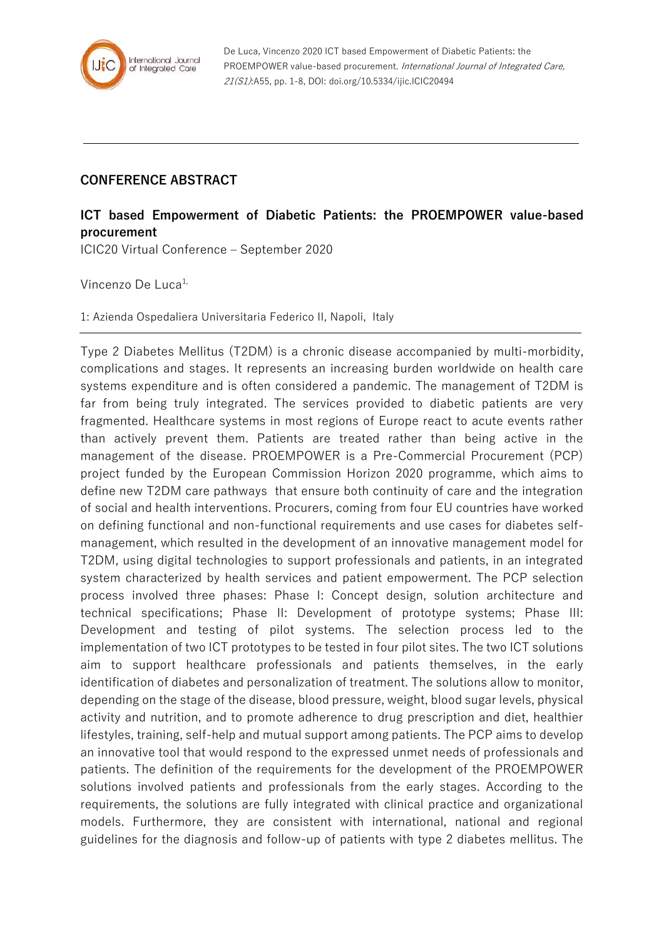

## **CONFERENCE ABSTRACT**

## **ICT based Empowerment of Diabetic Patients: the PROEMPOWER value-based procurement**

ICIC20 Virtual Conference – September 2020

Vincenzo De Luca<sup>1,</sup>

1: Azienda Ospedaliera Universitaria Federico II, Napoli, Italy

Type 2 Diabetes Mellitus (T2DM) is a chronic disease accompanied by multi-morbidity, complications and stages. It represents an increasing burden worldwide on health care systems expenditure and is often considered a pandemic. The management of T2DM is far from being truly integrated. The services provided to diabetic patients are very fragmented. Healthcare systems in most regions of Europe react to acute events rather than actively prevent them. Patients are treated rather than being active in the management of the disease. PROEMPOWER is a Pre-Commercial Procurement (PCP) project funded by the European Commission Horizon 2020 programme, which aims to define new T2DM care pathways that ensure both continuity of care and the integration of social and health interventions. Procurers, coming from four EU countries have worked on defining functional and non-functional requirements and use cases for diabetes selfmanagement, which resulted in the development of an innovative management model for T2DM, using digital technologies to support professionals and patients, in an integrated system characterized by health services and patient empowerment. The PCP selection process involved three phases: Phase I: Concept design, solution architecture and technical specifications; Phase II: Development of prototype systems; Phase III: Development and testing of pilot systems. The selection process led to the implementation of two ICT prototypes to be tested in four pilot sites. The two ICT solutions aim to support healthcare professionals and patients themselves, in the early identification of diabetes and personalization of treatment. The solutions allow to monitor, depending on the stage of the disease, blood pressure, weight, blood sugar levels, physical activity and nutrition, and to promote adherence to drug prescription and diet, healthier lifestyles, training, self-help and mutual support among patients. The PCP aims to develop an innovative tool that would respond to the expressed unmet needs of professionals and patients. The definition of the requirements for the development of the PROEMPOWER solutions involved patients and professionals from the early stages. According to the requirements, the solutions are fully integrated with clinical practice and organizational models. Furthermore, they are consistent with international, national and regional guidelines for the diagnosis and follow-up of patients with type 2 diabetes mellitus. The